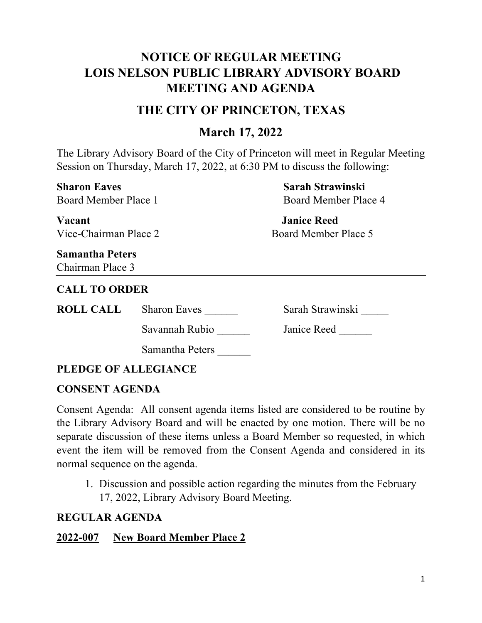# **NOTICE OF REGULAR MEETING LOIS NELSON PUBLIC LIBRARY ADVISORY BOARD MEETING AND AGENDA**

# **THE CITY OF PRINCETON, TEXAS**

# **March 17, 2022**

The Library Advisory Board of the City of Princeton will meet in Regular Meeting Session on Thursday, March 17, 2022, at 6:30 PM to discuss the following:

**Sharon Eaves Sarah Strawinski** Board Member Place 1 and Board Member Place 4 **Vacant Janice Reed** Vice-Chairman Place 2 Board Member Place 5 **Samantha Peters** Chairman Place 3 **CALL TO ORDER ROLL CALL** Sharon Eaves Sarah Strawinski Savannah Rubio \_\_\_\_\_\_\_ Janice Reed Samantha Peters \_\_\_\_\_\_

## **PLEDGE OF ALLEGIANCE**

### **CONSENT AGENDA**

Consent Agenda: All consent agenda items listed are considered to be routine by the Library Advisory Board and will be enacted by one motion. There will be no separate discussion of these items unless a Board Member so requested, in which event the item will be removed from the Consent Agenda and considered in its normal sequence on the agenda.

1. Discussion and possible action regarding the minutes from the February 17, 2022, Library Advisory Board Meeting.

### **REGULAR AGENDA**

### **2022-007 New Board Member Place 2**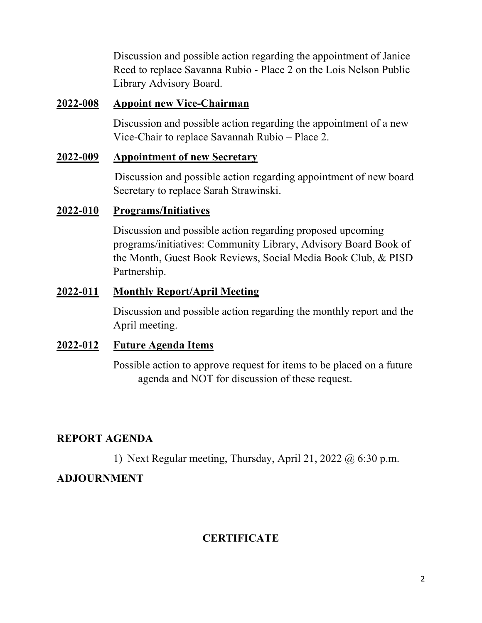Discussion and possible action regarding the appointment of Janice Reed to replace Savanna Rubio - Place 2 on the Lois Nelson Public Library Advisory Board.

#### **2022-008 Appoint new Vice-Chairman**

Discussion and possible action regarding the appointment of a new Vice-Chair to replace Savannah Rubio – Place 2.

#### **2022-009 Appointment of new Secretary**

Discussion and possible action regarding appointment of new board Secretary to replace Sarah Strawinski.

#### **2022-010 Programs/Initiatives**

Discussion and possible action regarding proposed upcoming programs/initiatives: Community Library, Advisory Board Book of the Month, Guest Book Reviews, Social Media Book Club, & PISD Partnership.

#### **2022-011 Monthly Report/April Meeting**

Discussion and possible action regarding the monthly report and the April meeting.

#### **2022-012 Future Agenda Items**

Possible action to approve request for items to be placed on a future agenda and NOT for discussion of these request.

### **REPORT AGENDA**

1) Next Regular meeting, Thursday, April 21, 2022  $\omega$  6:30 p.m.

### **ADJOURNMENT**

## **CERTIFICATE**